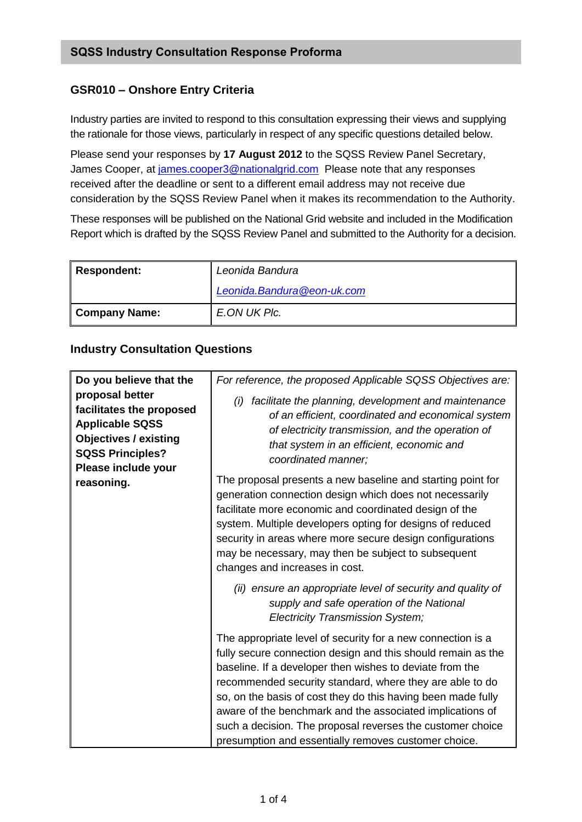## **GSR010 – Onshore Entry Criteria**

Industry parties are invited to respond to this consultation expressing their views and supplying the rationale for those views, particularly in respect of any specific questions detailed below.

Please send your responses by **17 August 2012** to the SQSS Review Panel Secretary, James Cooper, at [james.cooper3@nationalgrid.com](mailto:james.cooper3@nationalgrid.com) Please note that any responses received after the deadline or sent to a different email address may not receive due consideration by the SQSS Review Panel when it makes its recommendation to the Authority.

These responses will be published on the National Grid website and included in the Modification Report which is drafted by the SQSS Review Panel and submitted to the Authority for a decision.

| Respondent:   | Leonida Bandura            |
|---------------|----------------------------|
|               | Leonida.Bandura@eon-uk.com |
| Company Name: | E.ON UK Plc.               |

## **Industry Consultation Questions**

| Do you believe that the                                                                                                                                               | For reference, the proposed Applicable SQSS Objectives are:                                                                                                                                                                                                                                                                                                                                                                                                                                            |
|-----------------------------------------------------------------------------------------------------------------------------------------------------------------------|--------------------------------------------------------------------------------------------------------------------------------------------------------------------------------------------------------------------------------------------------------------------------------------------------------------------------------------------------------------------------------------------------------------------------------------------------------------------------------------------------------|
| proposal better<br>facilitates the proposed<br><b>Applicable SQSS</b><br><b>Objectives / existing</b><br><b>SQSS Principles?</b><br>Please include your<br>reasoning. | facilitate the planning, development and maintenance<br>(i)<br>of an efficient, coordinated and economical system<br>of electricity transmission, and the operation of<br>that system in an efficient, economic and<br>coordinated manner;                                                                                                                                                                                                                                                             |
|                                                                                                                                                                       | The proposal presents a new baseline and starting point for<br>generation connection design which does not necessarily<br>facilitate more economic and coordinated design of the<br>system. Multiple developers opting for designs of reduced<br>security in areas where more secure design configurations<br>may be necessary, may then be subject to subsequent<br>changes and increases in cost.                                                                                                    |
|                                                                                                                                                                       | (ii) ensure an appropriate level of security and quality of<br>supply and safe operation of the National<br><b>Electricity Transmission System;</b>                                                                                                                                                                                                                                                                                                                                                    |
|                                                                                                                                                                       | The appropriate level of security for a new connection is a<br>fully secure connection design and this should remain as the<br>baseline. If a developer then wishes to deviate from the<br>recommended security standard, where they are able to do<br>so, on the basis of cost they do this having been made fully<br>aware of the benchmark and the associated implications of<br>such a decision. The proposal reverses the customer choice<br>presumption and essentially removes customer choice. |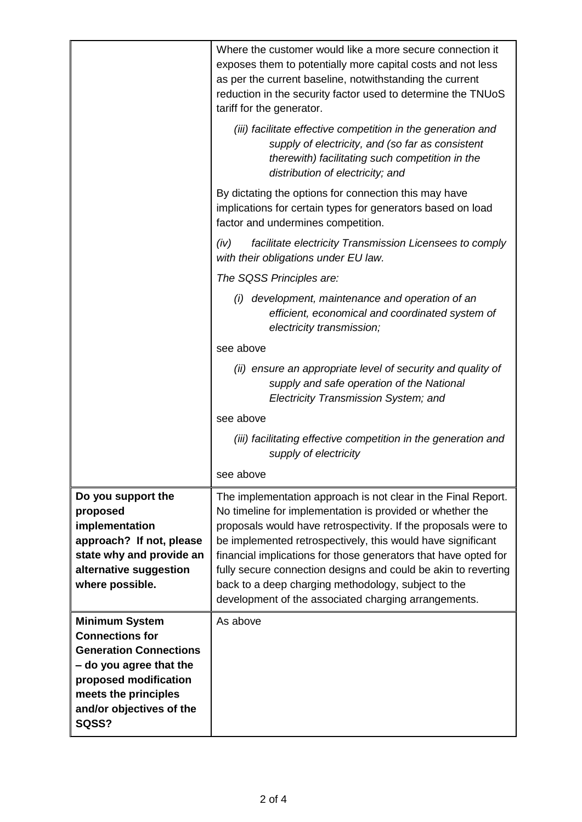|                                                                                                                                                                                                   | Where the customer would like a more secure connection it<br>exposes them to potentially more capital costs and not less<br>as per the current baseline, notwithstanding the current<br>reduction in the security factor used to determine the TNUoS<br>tariff for the generator.                                                                                                                                                                                                                               |
|---------------------------------------------------------------------------------------------------------------------------------------------------------------------------------------------------|-----------------------------------------------------------------------------------------------------------------------------------------------------------------------------------------------------------------------------------------------------------------------------------------------------------------------------------------------------------------------------------------------------------------------------------------------------------------------------------------------------------------|
|                                                                                                                                                                                                   | (iii) facilitate effective competition in the generation and<br>supply of electricity, and (so far as consistent<br>therewith) facilitating such competition in the<br>distribution of electricity; and                                                                                                                                                                                                                                                                                                         |
|                                                                                                                                                                                                   | By dictating the options for connection this may have<br>implications for certain types for generators based on load<br>factor and undermines competition.                                                                                                                                                                                                                                                                                                                                                      |
|                                                                                                                                                                                                   | facilitate electricity Transmission Licensees to comply<br>(iv)<br>with their obligations under EU law.                                                                                                                                                                                                                                                                                                                                                                                                         |
|                                                                                                                                                                                                   | The SQSS Principles are:                                                                                                                                                                                                                                                                                                                                                                                                                                                                                        |
|                                                                                                                                                                                                   | (i) development, maintenance and operation of an<br>efficient, economical and coordinated system of<br>electricity transmission;                                                                                                                                                                                                                                                                                                                                                                                |
|                                                                                                                                                                                                   | see above                                                                                                                                                                                                                                                                                                                                                                                                                                                                                                       |
|                                                                                                                                                                                                   | (ii) ensure an appropriate level of security and quality of<br>supply and safe operation of the National<br>Electricity Transmission System; and                                                                                                                                                                                                                                                                                                                                                                |
|                                                                                                                                                                                                   | see above                                                                                                                                                                                                                                                                                                                                                                                                                                                                                                       |
|                                                                                                                                                                                                   | (iii) facilitating effective competition in the generation and<br>supply of electricity                                                                                                                                                                                                                                                                                                                                                                                                                         |
|                                                                                                                                                                                                   | see above                                                                                                                                                                                                                                                                                                                                                                                                                                                                                                       |
| Do you support the<br>proposed<br>implementation<br>approach? If not, please<br>state why and provide an<br>alternative suggestion<br>where possible.                                             | The implementation approach is not clear in the Final Report.<br>No timeline for implementation is provided or whether the<br>proposals would have retrospectivity. If the proposals were to<br>be implemented retrospectively, this would have significant<br>financial implications for those generators that have opted for<br>fully secure connection designs and could be akin to reverting<br>back to a deep charging methodology, subject to the<br>development of the associated charging arrangements. |
| <b>Minimum System</b><br><b>Connections for</b><br><b>Generation Connections</b><br>- do you agree that the<br>proposed modification<br>meets the principles<br>and/or objectives of the<br>SQSS? | As above                                                                                                                                                                                                                                                                                                                                                                                                                                                                                                        |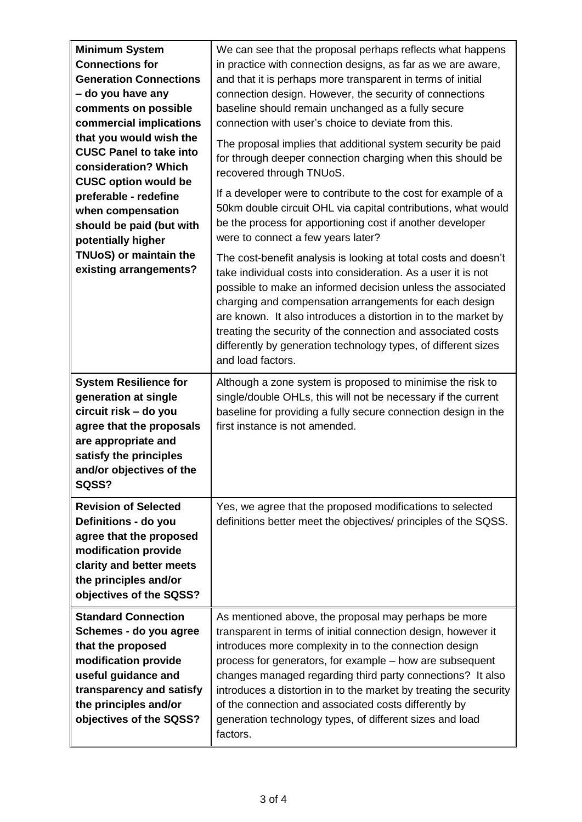| <b>Minimum System</b><br><b>Connections for</b><br><b>Generation Connections</b><br>- do you have any<br>comments on possible<br>commercial implications<br>that you would wish the<br><b>CUSC Panel to take into</b><br>consideration? Which<br><b>CUSC option would be</b><br>preferable - redefine<br>when compensation<br>should be paid (but with<br>potentially higher<br>TNUoS) or maintain the<br>existing arrangements? | We can see that the proposal perhaps reflects what happens<br>in practice with connection designs, as far as we are aware,<br>and that it is perhaps more transparent in terms of initial<br>connection design. However, the security of connections<br>baseline should remain unchanged as a fully secure<br>connection with user's choice to deviate from this.<br>The proposal implies that additional system security be paid<br>for through deeper connection charging when this should be<br>recovered through TNUoS.<br>If a developer were to contribute to the cost for example of a<br>50km double circuit OHL via capital contributions, what would<br>be the process for apportioning cost if another developer<br>were to connect a few years later?<br>The cost-benefit analysis is looking at total costs and doesn't<br>take individual costs into consideration. As a user it is not<br>possible to make an informed decision unless the associated |
|----------------------------------------------------------------------------------------------------------------------------------------------------------------------------------------------------------------------------------------------------------------------------------------------------------------------------------------------------------------------------------------------------------------------------------|----------------------------------------------------------------------------------------------------------------------------------------------------------------------------------------------------------------------------------------------------------------------------------------------------------------------------------------------------------------------------------------------------------------------------------------------------------------------------------------------------------------------------------------------------------------------------------------------------------------------------------------------------------------------------------------------------------------------------------------------------------------------------------------------------------------------------------------------------------------------------------------------------------------------------------------------------------------------|
|                                                                                                                                                                                                                                                                                                                                                                                                                                  | charging and compensation arrangements for each design<br>are known. It also introduces a distortion in to the market by<br>treating the security of the connection and associated costs<br>differently by generation technology types, of different sizes<br>and load factors.                                                                                                                                                                                                                                                                                                                                                                                                                                                                                                                                                                                                                                                                                      |
| <b>System Resilience for</b><br>generation at single<br>circuit risk - do you<br>agree that the proposals<br>are appropriate and<br>satisfy the principles<br>and/or objectives of the<br>SQSS?                                                                                                                                                                                                                                  | Although a zone system is proposed to minimise the risk to<br>single/double OHLs, this will not be necessary if the current<br>baseline for providing a fully secure connection design in the<br>first instance is not amended.                                                                                                                                                                                                                                                                                                                                                                                                                                                                                                                                                                                                                                                                                                                                      |
| <b>Revision of Selected</b><br>Definitions - do you<br>agree that the proposed<br>modification provide<br>clarity and better meets<br>the principles and/or<br>objectives of the SQSS?                                                                                                                                                                                                                                           | Yes, we agree that the proposed modifications to selected<br>definitions better meet the objectives/ principles of the SQSS.                                                                                                                                                                                                                                                                                                                                                                                                                                                                                                                                                                                                                                                                                                                                                                                                                                         |
| <b>Standard Connection</b><br>Schemes - do you agree<br>that the proposed<br>modification provide<br>useful guidance and<br>transparency and satisfy<br>the principles and/or<br>objectives of the SQSS?                                                                                                                                                                                                                         | As mentioned above, the proposal may perhaps be more<br>transparent in terms of initial connection design, however it<br>introduces more complexity in to the connection design<br>process for generators, for example – how are subsequent<br>changes managed regarding third party connections? It also<br>introduces a distortion in to the market by treating the security<br>of the connection and associated costs differently by<br>generation technology types, of different sizes and load<br>factors.                                                                                                                                                                                                                                                                                                                                                                                                                                                      |